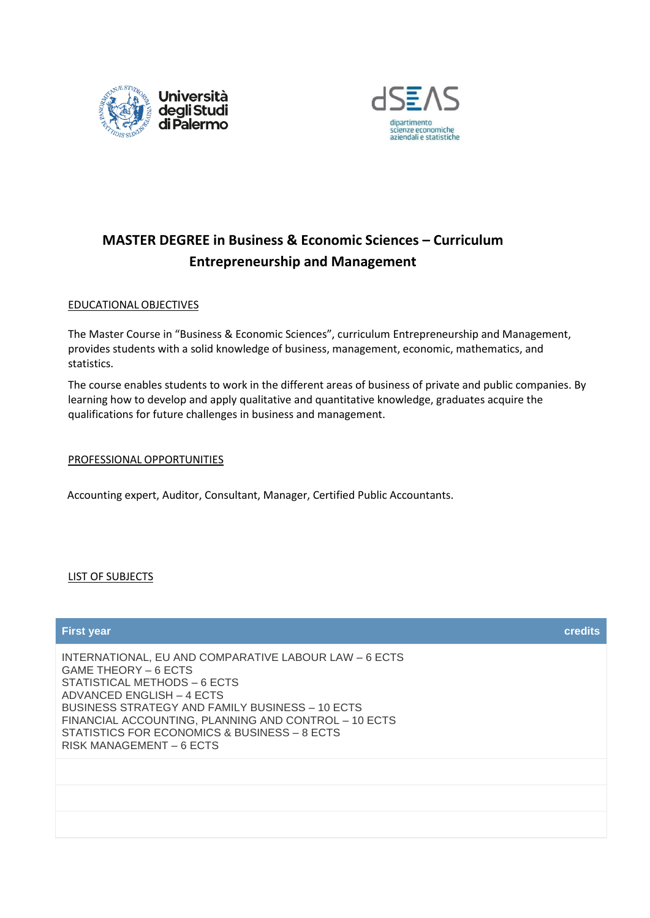



## **MASTER DEGREE in Business & Economic Sciences – Curriculum Entrepreneurship and Management**

## EDUCATIONAL OBJECTIVES

The Master Course in "Business & Economic Sciences", curriculum Entrepreneurship and Management, provides students with a solid knowledge of business, management, economic, mathematics, and statistics.

The course enables students to work in the different areas of business of private and public companies. By learning how to develop and apply qualitative and quantitative knowledge, graduates acquire the qualifications for future challenges in business and management.

## PROFESSIONAL OPPORTUNITIES

Accounting expert, Auditor, Consultant, Manager, Certified Public Accountants.

## LIST OF SUBJECTS

# **First year credits** INTERNATIONAL, EU AND COMPARATIVE LABOUR LAW – 6 ECTS GAME THEORY – 6 ECTS STATISTICAL METHODS – 6 ECTS ADVANCED ENGLISH – 4 ECTS BUSINESS STRATEGY AND FAMILY BUSINESS – 10 ECTS FINANCIAL ACCOUNTING, PLANNING AND CONTROL – 10 ECTS STATISTICS FOR ECONOMICS & BUSINESS – 8 ECTS RISK MANAGEMENT – 6 ECTS